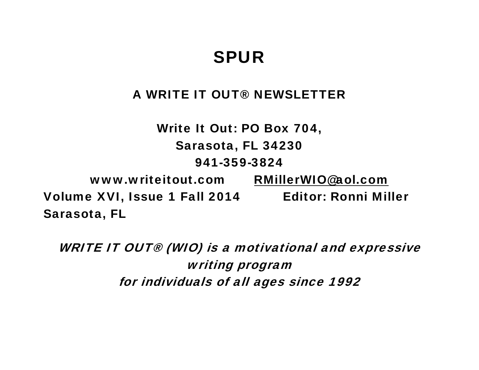# SPUR

# A WRITE IT OUT® NEWSLETTER

Write It Out: PO Box 704, Sarasota, FL 34230 941-359-3824 www.writeitout.com RMillerWIO@aol.com Volume XVI, Issue 1 Fall 2014 Editor: Ronni Miller Sarasota, FL

WRITE IT OUT® (WIO) is a motivational and expressive writing program for individuals of all ages since 1992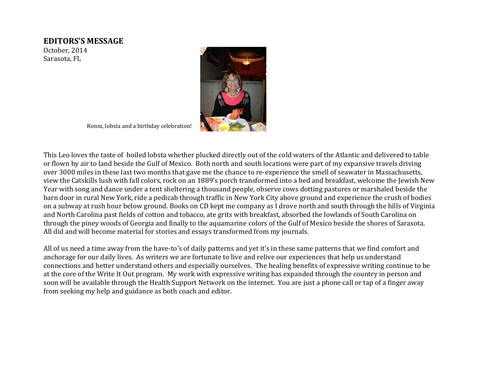### **EDITORS'S MESSAGE**

October, 2014 Sarasota, FL



Ronni, lobsta and a birthday celebration!

This Leo loves the taste of boiled lobsta whether plucked directly out of the cold waters of the Atlantic and delivered to table or flown by air to land beside the Gulf of Mexico. Both north and south locations were part of my expansive travels driving over 3000 miles in these last two months that gave me the chance to re‐experience the smell of seawater in Massachusetts, view the Catskills lush with fall colors, rock on an 1889's porch transformed into a bed and breakfast, welcome the Jewish New Year with song and dance under a tent sheltering a thousand people, observe cows dotting pastures or marshaled beside the barn door in rural New York, ride a pedicab through traffic in New York City above ground and experience the crush of bodies on a subway at rush hour below ground. Books on CD kept me company as I drove north and south through the hills of Virginia and North Carolina past fields of cotton and tobacco, ate grits with breakfast, absorbed the lowlands of South Carolina on through the piney woods of Georgia and finally to the aquamarine colors of the Gulf of Mexico beside the shores of Sarasota. All did and will become material for stories and essays transformed from my journals.

All of us need a time away from the have-to's of daily patterns and yet it's in these same patterns that we find comfort and anchorage for our daily lives. As writers we are fortunate to live and relive our experiences that help us understand connections and better understand others and especially ourselves. The healing benefits of expressive writing continue to be at the core of the Write It Out program. My work with expressive writing has expanded through the country in person and soon will be available through the Health Support Network on the internet. You are just a phone call or tap of a finger away from seeking my help and guidance as both coach and editor.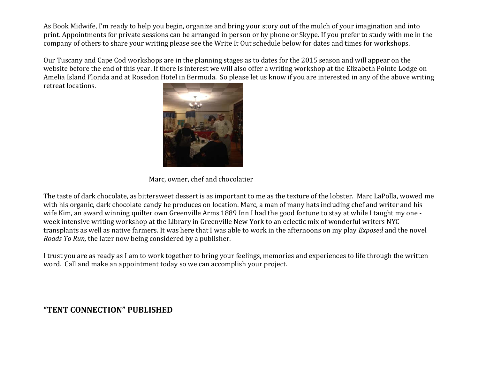As Book Midwife, I'm ready to help you begin, organize and bring your story out of the mulch of your imagination and into print. Appointments for private sessions can be arranged in person or by phone or Skype. If you prefer to study with me in the company of others to share your writing please see the Write It Out schedule below for dates and times for workshops.

Our Tuscany and Cape Cod workshops are in the planning stages as to dates for the 2015 season and will appear on the website before the end of this year. If there is interest we will also offer a writing workshop at the Elizabeth Pointe Lodge on Amelia Island Florida and at Rosedon Hotel in Bermuda. So please let us know if you are interested in any of the above writing retreat locations.



Marc, owner, chef and chocolatier

The taste of dark chocolate, as bittersweet dessert is as important to me as the texture of the lobster. Marc LaPolla, wowed me with his organic, dark chocolate candy he produces on location. Marc, a man of many hats including chef and writer and his wife Kim, an award winning quilter own Greenville Arms 1889 Inn I had the good fortune to stay at while I taught my one week intensive writing workshop at the Library in Greenville New York to an eclectic mix of wonderful writers NYC transplants as well as native farmers. It was here that I was able to work in the afternoons on my play *Exposed* and the novel *Roads To Run,* the later now being considered by a publisher.

I trust you are as ready as I am to work together to bring your feelings, memories and experiences to life through the written word. Call and make an appointment today so we can accomplish your project.

### **"TENT CONNECTION" PUBLISHED**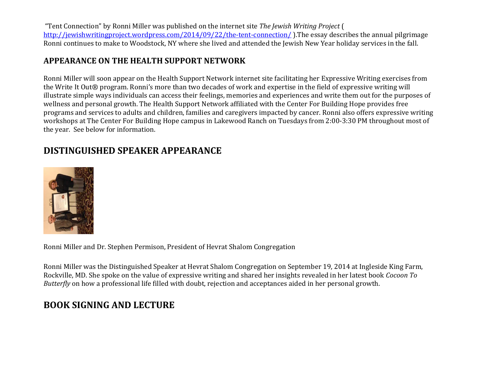"Tent Connection" by Ronni Miller was published on the internet site *The Jewish Writing Project* ( http://jewishwritingproject.wordpress.com/2014/09/22/the-tent-connection/ ).The essay describes the annual pilgrimage Ronni continues to make to Woodstock, NY where she lived and attended the Jewish New Year holiday services in the fall.

### **APPEARANCE ON THE HEALTH SUPPORT NETWORK**

Ronni Miller will soon appear on the Health Support Network internet site facilitating her Expressive Writing exercises from the Write It Out® program. Ronni's more than two decades of work and expertise in the field of expressive writing will illustrate simple ways individuals can access their feelings, memories and experiences and write them out for the purposes of wellness and personal growth. The Health Support Network affiliated with the Center For Building Hope provides free programs and services to adults and children, families and caregivers impacted by cancer. Ronni also offers expressive writing workshops at The Center For Building Hope campus in Lakewood Ranch on Tuesdays from 2:00‐3:30 PM throughout most of the year. See below for information.

# **DISTINGUISHED SPEAKER APPEARANCE**



Ronni Miller and Dr. Stephen Permison, President of Hevrat Shalom Congregation

Ronni Miller was the Distinguished Speaker at Hevrat Shalom Congregation on September 19, 2014 at Ingleside King Farm, Rockville, MD. She spoke on the value of expressive writing and shared her insights revealed in her latest book *Cocoon To Butterfly* on how a professional life filled with doubt, rejection and acceptances aided in her personal growth.

## **BOOK SIGNING AND LECTURE**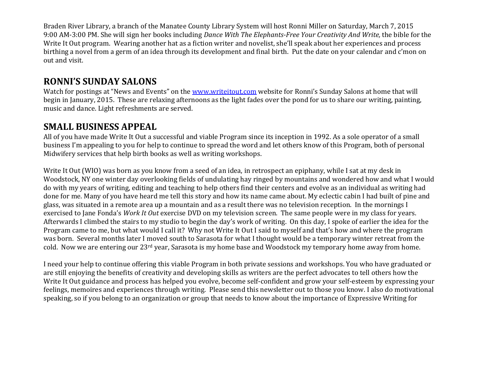Braden River Library, a branch of the Manatee County Library System will host Ronni Miller on Saturday, March 7, 2015 9:00 AM‐3:00 PM. She will sign her books including *Dance With The ElephantsFree Your Creativity And Write,* the bible for the Write It Out program. Wearing another hat as a fiction writer and novelist, she'll speak about her experiences and process birthing a novel from a germ of an idea through its development and final birth. Put the date on your calendar and c'mon on out and visit.

### **RONNI'S SUNDAY SALONS**

Watch for postings at "News and Events" on the www.writeitout.com website for Ronni's Sunday Salons at home that will begin in January, 2015. These are relaxing afternoons as the light fades over the pond for us to share our writing, painting, music and dance. Light refreshments are served.

### **SMALL BUSINESS APPEAL**

All of you have made Write It Out a successful and viable Program since its inception in 1992. As a sole operator of a small business I'm appealing to you for help to continue to spread the word and let others know of this Program, both of personal Midwifery services that help birth books as well as writing workshops.

Write It Out (WIO) was born as you know from a seed of an idea, in retrospect an epiphany, while I sat at my desk in Woodstock, NY one winter day overlooking fields of undulating hay ringed by mountains and wondered how and what I would do with my years of writing, editing and teaching to help others find their centers and evolve as an individual as writing had done for me. Many of you have heard me tell this story and how its name came about. My eclectic cabin I had built of pine and glass, was situated in a remote area up a mountain and as a result there was no television reception. In the mornings I exercised to Jane Fonda's *Work It Out* exercise DVD on my television screen. The same people were in my class for years. Afterwards I climbed the stairs to my studio to begin the day's work of writing. On this day, I spoke of earlier the idea for the Program came to me, but what would I call it? Why not Write It Out I said to myself and that's how and where the program was born. Several months later I moved south to Sarasota for what I thought would be a temporary winter retreat from the cold. Now we are entering our 23<sup>rd</sup> year, Sarasota is my home base and Woodstock my temporary home away from home.

I need your help to continue offering this viable Program in both private sessions and workshops. You who have graduated or are still enjoying the benefits of creativity and developing skills as writers are the perfect advocates to tell others how the Write It Out guidance and process has helped you evolve, become self-confident and grow your self-esteem by expressing your feelings, memoires and experiences through writing. Please send this newsletter out to those you know. I also do motivational speaking, so if you belong to an organization or group that needs to know about the importance of Expressive Writing for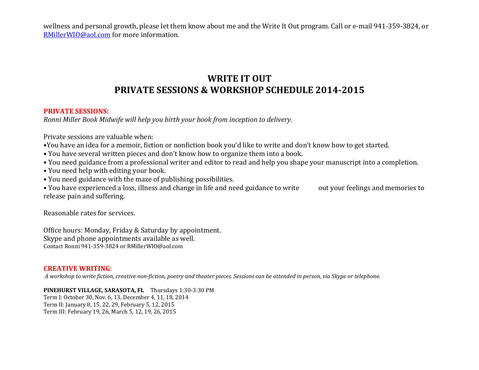wellness and personal growth, please let them know about me and the Write It Out program. Call or e‐mail 941‐359‐3824, or RMillerWIO@aol.com for more information.

# **WRITE IT OUT PRIVATE SESSIONS & WORKSHOP SCHEDULE 20142015**

#### **PRIVATE SESSIONS:**

*Ronni Miller Book Midwife will help you birth your book from inception to delivery.*

Private sessions are valuable when:

- •You have an idea for a memoir, fiction or nonfiction book you'd like to write and don't know how to get started.
- You have several written pieces and don't know how to organize them into a book.
- You need guidance from a professional writer and editor to read and help you shape your manuscript into a completion.
- You need help with editing your book.
- You need guidance with the maze of publishing possibilities.

• You have experienced a loss, illness and change in life and need guidance to write out your feelings and memories to release pain and suffering.

Reasonable rates for services.

Office hours: Monday, Friday & Saturday by appointment. Skype and phone appointments available as well. Contact Ronni 941‐359‐3824 or RMillerWIO@aol.com

### **CREATIVE WRITING**:

A workshop to write fiction, creative non-fiction, poetry and theater pieces. Sessions can be attended in person, via Skype or telephone.

**PINEHURST VILLAGE, SARASOTA, FL** Thursdays 1:30‐3:30 PM Term I: October 30, Nov. 6, 13, December 4, 11, 18, 2014

Term II: January 8, 15, 22, 29, February 5, 12, 2015 Term III: February 19, 26, March 5, 12, 19, 26, 2015